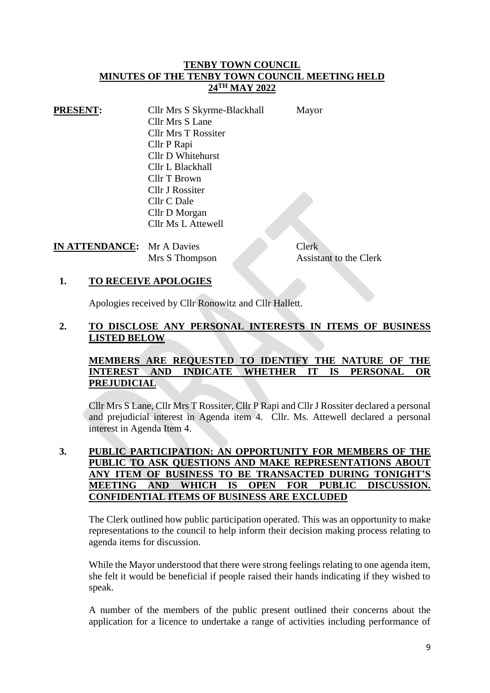#### **TENBY TOWN COUNCIL MINUTES OF THE TENBY TOWN COUNCIL MEETING HELD 24TH MAY 2022**

| <b>PRESENT:</b> | Cllr Mrs S Skyrme-Blackhall | Mayor |
|-----------------|-----------------------------|-------|
|                 | Cllr Mrs S Lane             |       |
|                 | <b>Cllr Mrs T Rossiter</b>  |       |
|                 | Cllr P Rapi                 |       |
|                 | Cllr D Whitehurst           |       |
|                 | Cllr L Blackhall            |       |
|                 | Cllr T Brown                |       |
|                 | <b>Cllr J Rossiter</b>      |       |
|                 | Cllr C Dale                 |       |
|                 | Cllr D Morgan               |       |
|                 | Cllr Ms L Attewell          |       |

# **IN ATTENDANCE:** Mr A Davies Clerk

Mrs S Thompson Assistant to the Clerk

### **1. TO RECEIVE APOLOGIES**

Apologies received by Cllr Ronowitz and Cllr Hallett.

# **2. TO DISCLOSE ANY PERSONAL INTERESTS IN ITEMS OF BUSINESS LISTED BELOW**

# **MEMBERS ARE REQUESTED TO IDENTIFY THE NATURE OF THE INTEREST AND INDICATE WHETHER IT IS PERSONAL OR PREJUDICIAL**

Cllr Mrs S Lane, Cllr Mrs T Rossiter, Cllr P Rapi and Cllr J Rossiter declared a personal and prejudicial interest in Agenda item 4. Cllr. Ms. Attewell declared a personal interest in Agenda Item 4.

#### **3. PUBLIC PARTICIPATION: AN OPPORTUNITY FOR MEMBERS OF THE PUBLIC TO ASK QUESTIONS AND MAKE REPRESENTATIONS ABOUT ANY ITEM OF BUSINESS TO BE TRANSACTED DURING TONIGHT'S MEETING AND WHICH IS OPEN FOR PUBLIC DISCUSSION. CONFIDENTIAL ITEMS OF BUSINESS ARE EXCLUDED**

The Clerk outlined how public participation operated. This was an opportunity to make representations to the council to help inform their decision making process relating to agenda items for discussion.

While the Mayor understood that there were strong feelings relating to one agenda item, she felt it would be beneficial if people raised their hands indicating if they wished to speak.

A number of the members of the public present outlined their concerns about the application for a licence to undertake a range of activities including performance of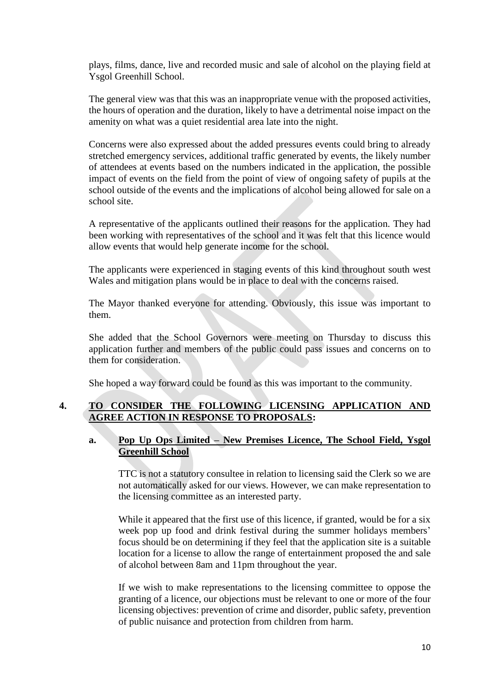plays, films, dance, live and recorded music and sale of alcohol on the playing field at Ysgol Greenhill School.

The general view was that this was an inappropriate venue with the proposed activities, the hours of operation and the duration, likely to have a detrimental noise impact on the amenity on what was a quiet residential area late into the night.

Concerns were also expressed about the added pressures events could bring to already stretched emergency services, additional traffic generated by events, the likely number of attendees at events based on the numbers indicated in the application, the possible impact of events on the field from the point of view of ongoing safety of pupils at the school outside of the events and the implications of alcohol being allowed for sale on a school site.

A representative of the applicants outlined their reasons for the application. They had been working with representatives of the school and it was felt that this licence would allow events that would help generate income for the school.

The applicants were experienced in staging events of this kind throughout south west Wales and mitigation plans would be in place to deal with the concerns raised.

The Mayor thanked everyone for attending. Obviously, this issue was important to them.

She added that the School Governors were meeting on Thursday to discuss this application further and members of the public could pass issues and concerns on to them for consideration.

She hoped a way forward could be found as this was important to the community.

### **4. TO CONSIDER THE FOLLOWING LICENSING APPLICATION AND AGREE ACTION IN RESPONSE TO PROPOSALS:**

### **a. Pop Up Ops Limited – New Premises Licence, The School Field, Ysgol Greenhill School**

TTC is not a statutory consultee in relation to licensing said the Clerk so we are not automatically asked for our views. However, we can make representation to the licensing committee as an interested party.

While it appeared that the first use of this licence, if granted, would be for a six week pop up food and drink festival during the summer holidays members' focus should be on determining if they feel that the application site is a suitable location for a license to allow the range of entertainment proposed the and sale of alcohol between 8am and 11pm throughout the year.

If we wish to make representations to the licensing committee to oppose the granting of a licence, our objections must be relevant to one or more of the four licensing objectives: prevention of crime and disorder, public safety, prevention of public nuisance and protection from children from harm.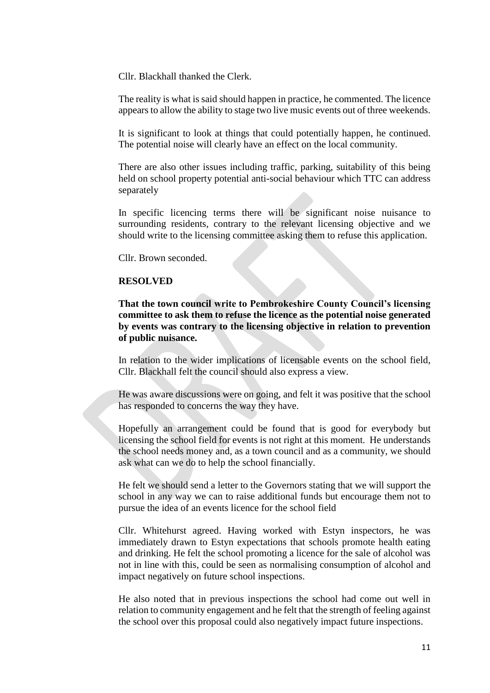Cllr. Blackhall thanked the Clerk.

The reality is what is said should happen in practice, he commented. The licence appears to allow the ability to stage two live music events out of three weekends.

It is significant to look at things that could potentially happen, he continued. The potential noise will clearly have an effect on the local community.

There are also other issues including traffic, parking, suitability of this being held on school property potential anti-social behaviour which TTC can address separately

In specific licencing terms there will be significant noise nuisance to surrounding residents, contrary to the relevant licensing objective and we should write to the licensing committee asking them to refuse this application.

Cllr. Brown seconded.

#### **RESOLVED**

**That the town council write to Pembrokeshire County Council's licensing committee to ask them to refuse the licence as the potential noise generated by events was contrary to the licensing objective in relation to prevention of public nuisance.**

In relation to the wider implications of licensable events on the school field, Cllr. Blackhall felt the council should also express a view.

He was aware discussions were on going, and felt it was positive that the school has responded to concerns the way they have.

Hopefully an arrangement could be found that is good for everybody but licensing the school field for events is not right at this moment. He understands the school needs money and, as a town council and as a community, we should ask what can we do to help the school financially.

He felt we should send a letter to the Governors stating that we will support the school in any way we can to raise additional funds but encourage them not to pursue the idea of an events licence for the school field

Cllr. Whitehurst agreed. Having worked with Estyn inspectors, he was immediately drawn to Estyn expectations that schools promote health eating and drinking. He felt the school promoting a licence for the sale of alcohol was not in line with this, could be seen as normalising consumption of alcohol and impact negatively on future school inspections.

He also noted that in previous inspections the school had come out well in relation to community engagement and he felt that the strength of feeling against the school over this proposal could also negatively impact future inspections.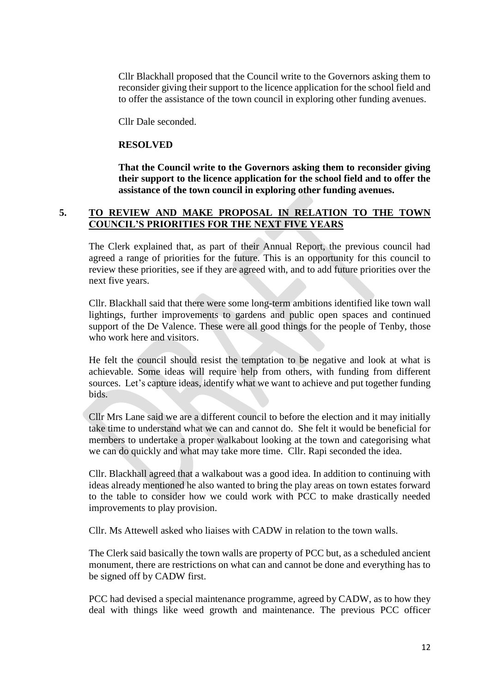Cllr Blackhall proposed that the Council write to the Governors asking them to reconsider giving their support to the licence application for the school field and to offer the assistance of the town council in exploring other funding avenues.

Cllr Dale seconded.

#### **RESOLVED**

**That the Council write to the Governors asking them to reconsider giving their support to the licence application for the school field and to offer the assistance of the town council in exploring other funding avenues.**

#### **5. TO REVIEW AND MAKE PROPOSAL IN RELATION TO THE TOWN COUNCIL'S PRIORITIES FOR THE NEXT FIVE YEARS**

The Clerk explained that, as part of their Annual Report, the previous council had agreed a range of priorities for the future. This is an opportunity for this council to review these priorities, see if they are agreed with, and to add future priorities over the next five years.

Cllr. Blackhall said that there were some long-term ambitions identified like town wall lightings, further improvements to gardens and public open spaces and continued support of the De Valence. These were all good things for the people of Tenby, those who work here and visitors.

He felt the council should resist the temptation to be negative and look at what is achievable. Some ideas will require help from others, with funding from different sources. Let's capture ideas, identify what we want to achieve and put together funding bids.

Cllr Mrs Lane said we are a different council to before the election and it may initially take time to understand what we can and cannot do. She felt it would be beneficial for members to undertake a proper walkabout looking at the town and categorising what we can do quickly and what may take more time. Cllr. Rapi seconded the idea.

Cllr. Blackhall agreed that a walkabout was a good idea. In addition to continuing with ideas already mentioned he also wanted to bring the play areas on town estates forward to the table to consider how we could work with PCC to make drastically needed improvements to play provision.

Cllr. Ms Attewell asked who liaises with CADW in relation to the town walls.

The Clerk said basically the town walls are property of PCC but, as a scheduled ancient monument, there are restrictions on what can and cannot be done and everything has to be signed off by CADW first.

PCC had devised a special maintenance programme, agreed by CADW, as to how they deal with things like weed growth and maintenance. The previous PCC officer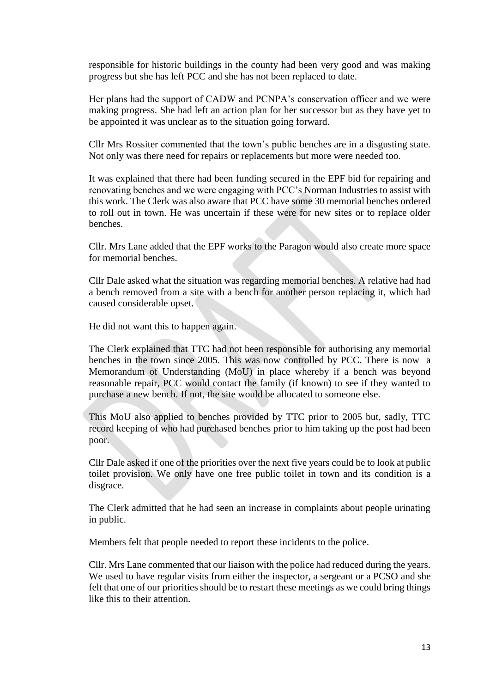responsible for historic buildings in the county had been very good and was making progress but she has left PCC and she has not been replaced to date.

Her plans had the support of CADW and PCNPA's conservation officer and we were making progress. She had left an action plan for her successor but as they have yet to be appointed it was unclear as to the situation going forward.

Cllr Mrs Rossiter commented that the town's public benches are in a disgusting state. Not only was there need for repairs or replacements but more were needed too.

It was explained that there had been funding secured in the EPF bid for repairing and renovating benches and we were engaging with PCC's Norman Industries to assist with this work. The Clerk was also aware that PCC have some 30 memorial benches ordered to roll out in town. He was uncertain if these were for new sites or to replace older benches.

Cllr. Mrs Lane added that the EPF works to the Paragon would also create more space for memorial benches.

Cllr Dale asked what the situation was regarding memorial benches. A relative had had a bench removed from a site with a bench for another person replacing it, which had caused considerable upset.

He did not want this to happen again.

The Clerk explained that TTC had not been responsible for authorising any memorial benches in the town since 2005. This was now controlled by PCC. There is now a Memorandum of Understanding (MoU) in place whereby if a bench was beyond reasonable repair, PCC would contact the family (if known) to see if they wanted to purchase a new bench. If not, the site would be allocated to someone else.

This MoU also applied to benches provided by TTC prior to 2005 but, sadly, TTC record keeping of who had purchased benches prior to him taking up the post had been poor.

Cllr Dale asked if one of the priorities over the next five years could be to look at public toilet provision. We only have one free public toilet in town and its condition is a disgrace.

The Clerk admitted that he had seen an increase in complaints about people urinating in public.

Members felt that people needed to report these incidents to the police.

Cllr. Mrs Lane commented that our liaison with the police had reduced during the years. We used to have regular visits from either the inspector, a sergeant or a PCSO and she felt that one of our priorities should be to restart these meetings as we could bring things like this to their attention.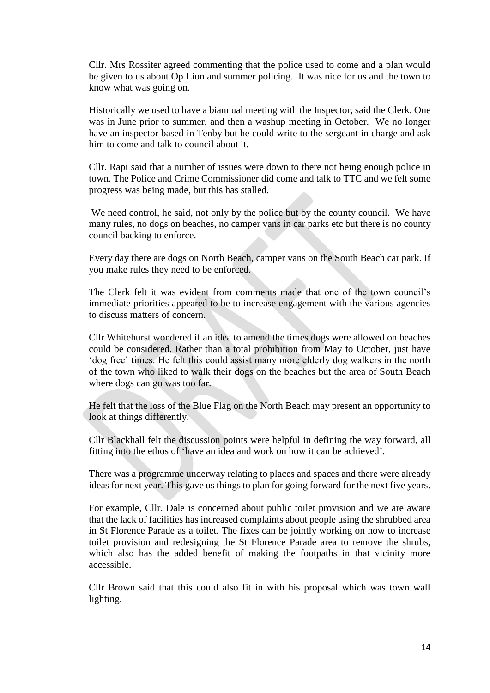Cllr. Mrs Rossiter agreed commenting that the police used to come and a plan would be given to us about Op Lion and summer policing. It was nice for us and the town to know what was going on.

Historically we used to have a biannual meeting with the Inspector, said the Clerk. One was in June prior to summer, and then a washup meeting in October. We no longer have an inspector based in Tenby but he could write to the sergeant in charge and ask him to come and talk to council about it.

Cllr. Rapi said that a number of issues were down to there not being enough police in town. The Police and Crime Commissioner did come and talk to TTC and we felt some progress was being made, but this has stalled.

We need control, he said, not only by the police but by the county council. We have many rules, no dogs on beaches, no camper vans in car parks etc but there is no county council backing to enforce.

Every day there are dogs on North Beach, camper vans on the South Beach car park. If you make rules they need to be enforced.

The Clerk felt it was evident from comments made that one of the town council's immediate priorities appeared to be to increase engagement with the various agencies to discuss matters of concern.

Cllr Whitehurst wondered if an idea to amend the times dogs were allowed on beaches could be considered. Rather than a total prohibition from May to October, just have 'dog free' times. He felt this could assist many more elderly dog walkers in the north of the town who liked to walk their dogs on the beaches but the area of South Beach where dogs can go was too far.

He felt that the loss of the Blue Flag on the North Beach may present an opportunity to look at things differently.

Cllr Blackhall felt the discussion points were helpful in defining the way forward, all fitting into the ethos of 'have an idea and work on how it can be achieved'.

There was a programme underway relating to places and spaces and there were already ideas for next year. This gave us things to plan for going forward for the next five years.

For example, Cllr. Dale is concerned about public toilet provision and we are aware that the lack of facilities has increased complaints about people using the shrubbed area in St Florence Parade as a toilet. The fixes can be jointly working on how to increase toilet provision and redesigning the St Florence Parade area to remove the shrubs, which also has the added benefit of making the footpaths in that vicinity more accessible.

Cllr Brown said that this could also fit in with his proposal which was town wall lighting.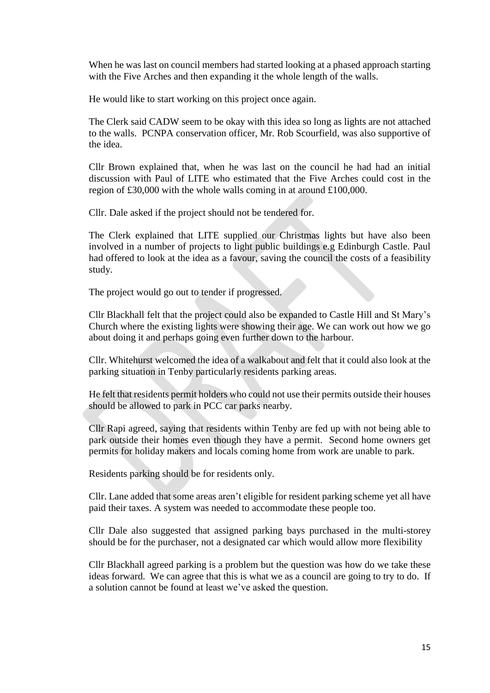When he was last on council members had started looking at a phased approach starting with the Five Arches and then expanding it the whole length of the walls.

He would like to start working on this project once again.

The Clerk said CADW seem to be okay with this idea so long as lights are not attached to the walls. PCNPA conservation officer, Mr. Rob Scourfield, was also supportive of the idea.

Cllr Brown explained that, when he was last on the council he had had an initial discussion with Paul of LITE who estimated that the Five Arches could cost in the region of £30,000 with the whole walls coming in at around £100,000.

Cllr. Dale asked if the project should not be tendered for.

The Clerk explained that LITE supplied our Christmas lights but have also been involved in a number of projects to light public buildings e.g Edinburgh Castle. Paul had offered to look at the idea as a favour, saving the council the costs of a feasibility study.

The project would go out to tender if progressed.

Cllr Blackhall felt that the project could also be expanded to Castle Hill and St Mary's Church where the existing lights were showing their age. We can work out how we go about doing it and perhaps going even further down to the harbour.

Cllr. Whitehurst welcomed the idea of a walkabout and felt that it could also look at the parking situation in Tenby particularly residents parking areas.

He felt that residents permit holders who could not use their permits outside their houses should be allowed to park in PCC car parks nearby.

Cllr Rapi agreed, saying that residents within Tenby are fed up with not being able to park outside their homes even though they have a permit. Second home owners get permits for holiday makers and locals coming home from work are unable to park.

Residents parking should be for residents only.

Cllr. Lane added that some areas aren't eligible for resident parking scheme yet all have paid their taxes. A system was needed to accommodate these people too.

Cllr Dale also suggested that assigned parking bays purchased in the multi-storey should be for the purchaser, not a designated car which would allow more flexibility

Cllr Blackhall agreed parking is a problem but the question was how do we take these ideas forward. We can agree that this is what we as a council are going to try to do. If a solution cannot be found at least we've asked the question.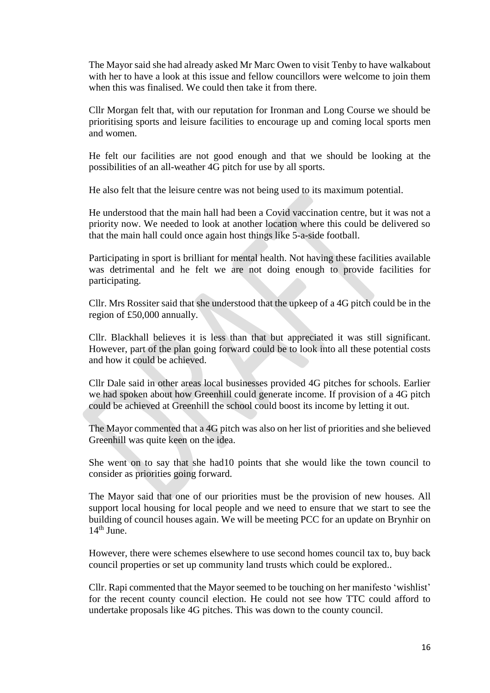The Mayor said she had already asked Mr Marc Owen to visit Tenby to have walkabout with her to have a look at this issue and fellow councillors were welcome to join them when this was finalised. We could then take it from there.

Cllr Morgan felt that, with our reputation for Ironman and Long Course we should be prioritising sports and leisure facilities to encourage up and coming local sports men and women.

He felt our facilities are not good enough and that we should be looking at the possibilities of an all-weather 4G pitch for use by all sports.

He also felt that the leisure centre was not being used to its maximum potential.

He understood that the main hall had been a Covid vaccination centre, but it was not a priority now. We needed to look at another location where this could be delivered so that the main hall could once again host things like 5-a-side football.

Participating in sport is brilliant for mental health. Not having these facilities available was detrimental and he felt we are not doing enough to provide facilities for participating.

Cllr. Mrs Rossiter said that she understood that the upkeep of a 4G pitch could be in the region of £50,000 annually.

Cllr. Blackhall believes it is less than that but appreciated it was still significant. However, part of the plan going forward could be to look into all these potential costs and how it could be achieved.

Cllr Dale said in other areas local businesses provided 4G pitches for schools. Earlier we had spoken about how Greenhill could generate income. If provision of a 4G pitch could be achieved at Greenhill the school could boost its income by letting it out.

The Mayor commented that a 4G pitch was also on her list of priorities and she believed Greenhill was quite keen on the idea.

She went on to say that she had10 points that she would like the town council to consider as priorities going forward.

The Mayor said that one of our priorities must be the provision of new houses. All support local housing for local people and we need to ensure that we start to see the building of council houses again. We will be meeting PCC for an update on Brynhir on  $14<sup>th</sup>$  June.

However, there were schemes elsewhere to use second homes council tax to, buy back council properties or set up community land trusts which could be explored..

Cllr. Rapi commented that the Mayor seemed to be touching on her manifesto 'wishlist' for the recent county council election. He could not see how TTC could afford to undertake proposals like 4G pitches. This was down to the county council.